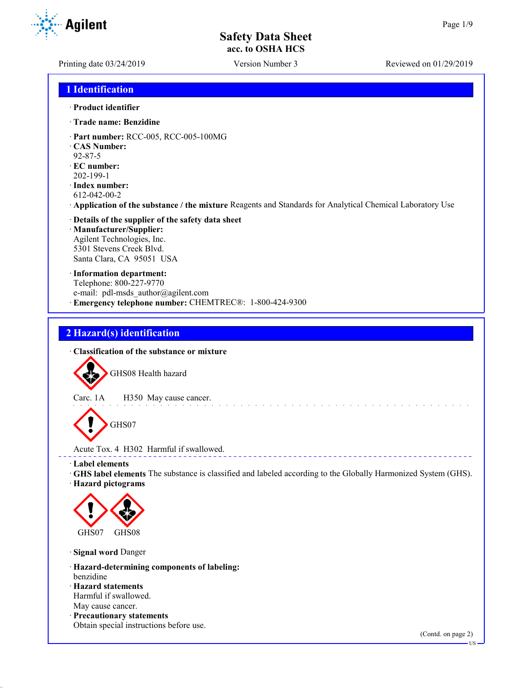Printing date 03/24/2019 Version Number 3 Reviewed on 01/29/2019

**Agilent** 

## **1 Identification**

#### · **Product identifier**

- · **Trade name: Benzidine**
- · **Part number:** RCC-005, RCC-005-100MG
- · **CAS Number:**
- 92-87-5
- · **EC number:** 202-199-1
- · **Index number:** 612-042-00-2
- · **Application of the substance / the mixture** Reagents and Standards for Analytical Chemical Laboratory Use
- · **Details of the supplier of the safety data sheet** · **Manufacturer/Supplier:** Agilent Technologies, Inc. 5301 Stevens Creek Blvd. Santa Clara, CA 95051 USA
- · **Information department:** Telephone: 800-227-9770 e-mail: pdl-msds author@agilent.com · **Emergency telephone number:** CHEMTREC®: 1-800-424-9300

# **2 Hazard(s) identification**

· **Classification of the substance or mixture**

GHS08 Health hazard

Carc. 1A H350 May cause cancer.

GHS07

Acute Tox. 4 H302 Harmful if swallowed.

· **Label elements**

· **GHS label elements** The substance is classified and labeled according to the Globally Harmonized System (GHS).

<u>a dia manana amin'ny fivondronan-</u>

· **Hazard pictograms**



· **Signal word** Danger

- · **Hazard-determining components of labeling:** benzidine
- · **Hazard statements** Harmful if swallowed.
- May cause cancer.
- · **Precautionary statements** Obtain special instructions before use.

(Contd. on page 2)

US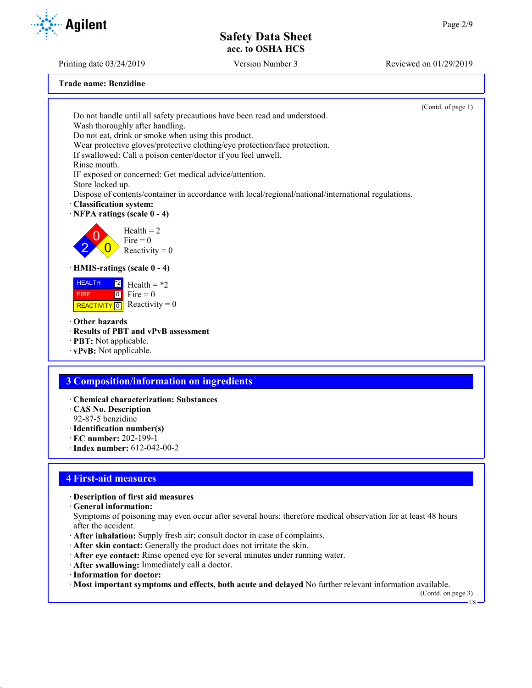Printing date 03/24/2019 Version Number 3 Reviewed on 01/29/2019

**Trade name: Benzidine**

(Contd. of page 1) Do not handle until all safety precautions have been read and understood. Wash thoroughly after handling. Do not eat, drink or smoke when using this product. Wear protective gloves/protective clothing/eye protection/face protection. If swallowed: Call a poison center/doctor if you feel unwell. Rinse mouth. IF exposed or concerned: Get medical advice/attention. Store locked up. Dispose of contents/container in accordance with local/regional/national/international regulations. · **Classification system:** · **NFPA ratings (scale 0 - 4)** 2  $\overline{0}$  $\overline{0}$  $Health = 2$ Fire  $= 0$ Reactivity  $= 0$ · **HMIS-ratings (scale 0 - 4)** HEALTH FIRE ReacTIVITY  $\boxed{0}$  Reactivity = 0  $\frac{12}{2}$  Health = \*2  $0$  Fire = 0 · **Other hazards** · **Results of PBT and vPvB assessment** · **PBT:** Not applicable. · **vPvB:** Not applicable. **3 Composition/information on ingredients** · **Chemical characterization: Substances**

- · **CAS No. Description**
- 92-87-5 benzidine
- · **Identification number(s)**
- · **EC number:** 202-199-1
- · **Index number:** 612-042-00-2

## **4 First-aid measures**

- · **Description of first aid measures**
- · **General information:**
- Symptoms of poisoning may even occur after several hours; therefore medical observation for at least 48 hours after the accident.
- · **After inhalation:** Supply fresh air; consult doctor in case of complaints.
- · **After skin contact:** Generally the product does not irritate the skin.
- · **After eye contact:** Rinse opened eye for several minutes under running water.
- · **After swallowing:** Immediately call a doctor.
- · **Information for doctor:**
- · **Most important symptoms and effects, both acute and delayed** No further relevant information available.

(Contd. on page 3)

```
 US
```
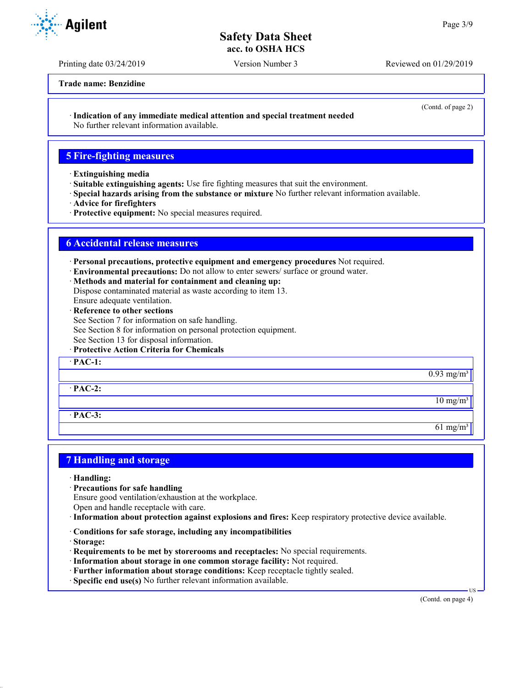Printing date 03/24/2019 Version Number 3 Reviewed on 01/29/2019

**Trade name: Benzidine**

(Contd. of page 2)

· **Indication of any immediate medical attention and special treatment needed**

No further relevant information available.

## **5 Fire-fighting measures**

- · **Extinguishing media**
- · **Suitable extinguishing agents:** Use fire fighting measures that suit the environment.
- · **Special hazards arising from the substance or mixture** No further relevant information available.
- · **Advice for firefighters**
- · **Protective equipment:** No special measures required.

# **6 Accidental release measures**

- · **Personal precautions, protective equipment and emergency procedures** Not required.
- · **Environmental precautions:** Do not allow to enter sewers/ surface or ground water.
- · **Methods and material for containment and cleaning up:**
- Dispose contaminated material as waste according to item 13.
- Ensure adequate ventilation.
- · **Reference to other sections**
- See Section 7 for information on safe handling.
- See Section 8 for information on personal protection equipment.
- See Section 13 for disposal information.
- · **Protective Action Criteria for Chemicals**

· **PAC-1:**

· **PAC-2:**

· **PAC-3:**

## **7 Handling and storage**

- · **Handling:**
- · **Precautions for safe handling**
- Ensure good ventilation/exhaustion at the workplace.
- Open and handle receptacle with care.
- · **Information about protection against explosions and fires:** Keep respiratory protective device available.
- · **Conditions for safe storage, including any incompatibilities**
- · **Storage:**
- · **Requirements to be met by storerooms and receptacles:** No special requirements.
- · **Information about storage in one common storage facility:** Not required.
- · **Further information about storage conditions:** Keep receptacle tightly sealed.
- · **Specific end use(s)** No further relevant information available.

US

 $0.93$  mg/m<sup>3</sup>

 $10$  mg/m<sup>3</sup>

 $61 \text{ mg/m}^3$ 



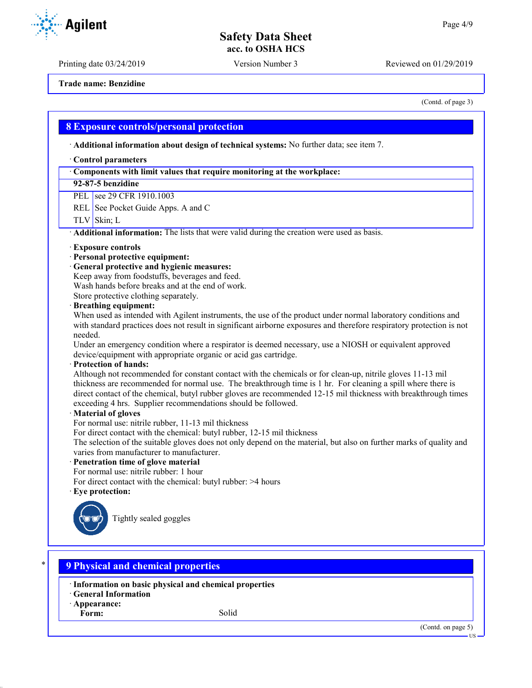Printing date 03/24/2019 Version Number 3 Reviewed on 01/29/2019

**Trade name: Benzidine**

(Contd. of page 3)

#### **8 Exposure controls/personal protection**

· **Additional information about design of technical systems:** No further data; see item 7.

#### · **Control parameters**

#### · **Components with limit values that require monitoring at the workplace:**

**92-87-5 benzidine**

PEL see 29 CFR 1910.1003

REL See Pocket Guide Apps. A and C

 $TLV$  Skin; L

· **Additional information:** The lists that were valid during the creation were used as basis.

#### · **Exposure controls**

- · **Personal protective equipment:**
- · **General protective and hygienic measures:**

Keep away from foodstuffs, beverages and feed.

Wash hands before breaks and at the end of work.

Store protective clothing separately.

#### · **Breathing equipment:**

When used as intended with Agilent instruments, the use of the product under normal laboratory conditions and with standard practices does not result in significant airborne exposures and therefore respiratory protection is not needed.

Under an emergency condition where a respirator is deemed necessary, use a NIOSH or equivalent approved device/equipment with appropriate organic or acid gas cartridge.

#### · **Protection of hands:**

Although not recommended for constant contact with the chemicals or for clean-up, nitrile gloves 11-13 mil thickness are recommended for normal use. The breakthrough time is 1 hr. For cleaning a spill where there is direct contact of the chemical, butyl rubber gloves are recommended 12-15 mil thickness with breakthrough times exceeding 4 hrs. Supplier recommendations should be followed.

#### · **Material of gloves**

For normal use: nitrile rubber, 11-13 mil thickness

For direct contact with the chemical: butyl rubber, 12-15 mil thickness

The selection of the suitable gloves does not only depend on the material, but also on further marks of quality and varies from manufacturer to manufacturer.

## · **Penetration time of glove material**

For normal use: nitrile rubber: 1 hour

For direct contact with the chemical: butyl rubber: >4 hours

· **Eye protection:**



Tightly sealed goggles

## \* **9 Physical and chemical properties**

- · **Information on basic physical and chemical properties**
- · **General Information**
- · **Appearance:**
	- Form: Solid



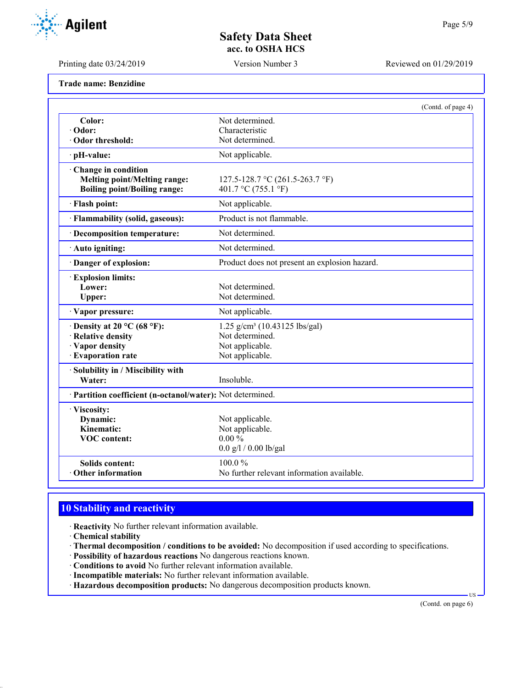Printing date 03/24/2019 Version Number 3 Reviewed on 01/29/2019

**Agilent** 

| Trade name: Benzidine |  |
|-----------------------|--|
|-----------------------|--|

|                                                                                                   |                                                                                                    | (Contd. of page 4) |
|---------------------------------------------------------------------------------------------------|----------------------------------------------------------------------------------------------------|--------------------|
| Color:                                                                                            | Not determined.                                                                                    |                    |
| · Odor:                                                                                           | Characteristic                                                                                     |                    |
| Odor threshold:                                                                                   | Not determined.                                                                                    |                    |
| pH-value:                                                                                         | Not applicable.                                                                                    |                    |
| Change in condition<br><b>Melting point/Melting range:</b><br><b>Boiling point/Boiling range:</b> | 127.5-128.7 °C (261.5-263.7 °F)<br>401.7 °C (755.1 °F)                                             |                    |
| · Flash point:                                                                                    | Not applicable.                                                                                    |                    |
| · Flammability (solid, gaseous):                                                                  | Product is not flammable.                                                                          |                    |
| · Decomposition temperature:                                                                      | Not determined.                                                                                    |                    |
| · Auto igniting:                                                                                  | Not determined.                                                                                    |                    |
| · Danger of explosion:                                                                            | Product does not present an explosion hazard.                                                      |                    |
| <b>Explosion limits:</b><br>Lower:<br>Upper:                                                      | Not determined.<br>Not determined.                                                                 |                    |
| · Vapor pressure:                                                                                 | Not applicable.                                                                                    |                    |
| $\cdot$ Density at 20 °C (68 °F):<br>· Relative density<br>· Vapor density<br>· Evaporation rate  | 1.25 g/cm <sup>3</sup> (10.43125 lbs/gal)<br>Not determined.<br>Not applicable.<br>Not applicable. |                    |
| · Solubility in / Miscibility with<br>Water:                                                      | Insoluble.                                                                                         |                    |
| · Partition coefficient (n-octanol/water): Not determined.                                        |                                                                                                    |                    |
| · Viscosity:<br>Dynamic:<br>Kinematic:<br><b>VOC</b> content:                                     | Not applicable.<br>Not applicable.<br>$0.00\,\%$<br>$0.0$ g/l / 0.00 lb/gal                        |                    |
| <b>Solids content:</b><br><b>Other information</b>                                                | 100.0%<br>No further relevant information available.                                               |                    |

# **10 Stability and reactivity**

- · **Reactivity** No further relevant information available.
- · **Chemical stability**
- · **Thermal decomposition / conditions to be avoided:** No decomposition if used according to specifications.
- · **Possibility of hazardous reactions** No dangerous reactions known.
- · **Conditions to avoid** No further relevant information available.
- · **Incompatible materials:** No further relevant information available.
- · **Hazardous decomposition products:** No dangerous decomposition products known.

(Contd. on page 6)

US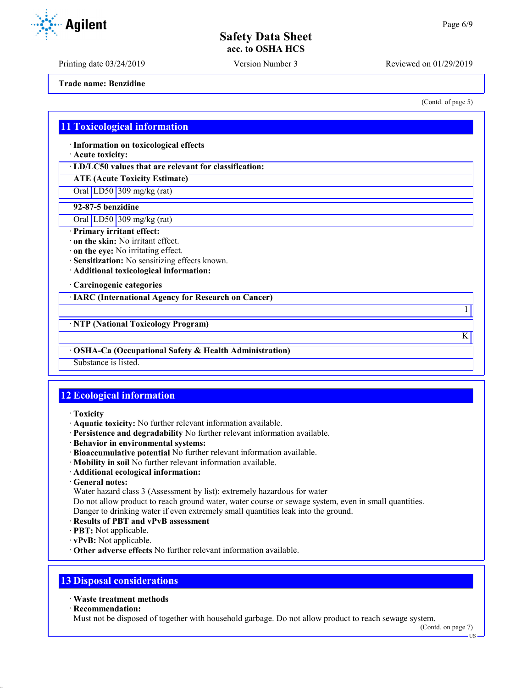Printing date 03/24/2019 Version Number 3 Reviewed on 01/29/2019

**Trade name: Benzidine**

## **11 Toxicological information**

· **Information on toxicological effects**

· **Acute toxicity:**

· **LD/LC50 values that are relevant for classification:**

**ATE (Acute Toxicity Estimate)**

Oral LD50 309 mg/kg (rat)

## **92-87-5 benzidine**

Oral LD50 309 mg/kg (rat)

- · **Primary irritant effect:**
- · **on the skin:** No irritant effect.
- · **on the eye:** No irritating effect.
- · **Sensitization:** No sensitizing effects known.
- · **Additional toxicological information:**

· **Carcinogenic categories**

· **IARC (International Agency for Research on Cancer)**

· **NTP (National Toxicology Program)**

#### · **OSHA-Ca (Occupational Safety & Health Administration)**

Substance is listed.

# **12 Ecological information**

- · **Toxicity**
- · **Aquatic toxicity:** No further relevant information available.
- · **Persistence and degradability** No further relevant information available.
- · **Behavior in environmental systems:**
- · **Bioaccumulative potential** No further relevant information available.
- · **Mobility in soil** No further relevant information available.
- · **Additional ecological information:**
- · **General notes:**

Water hazard class 3 (Assessment by list): extremely hazardous for water

Do not allow product to reach ground water, water course or sewage system, even in small quantities.

Danger to drinking water if even extremely small quantities leak into the ground.

- · **Results of PBT and vPvB assessment**
- · **PBT:** Not applicable.
- · **vPvB:** Not applicable.
- · **Other adverse effects** No further relevant information available.

# **13 Disposal considerations**

#### · **Waste treatment methods**

· **Recommendation:**

Must not be disposed of together with household garbage. Do not allow product to reach sewage system.

(Contd. on page 7)

US



(Contd. of page 5)

1

K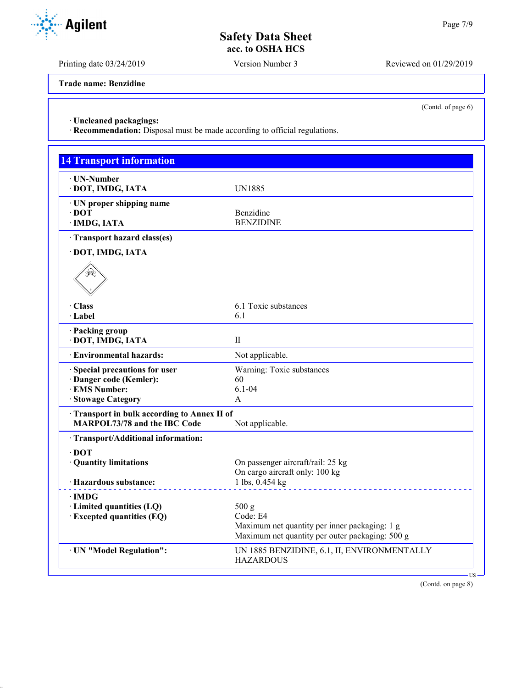Printing date 03/24/2019 Version Number 3 Reviewed on 01/29/2019

**Trade name: Benzidine**

(Contd. of page 6)

· **Uncleaned packagings:**

· **Recommendation:** Disposal must be made according to official regulations.

| · UN-Number                                | <b>UN1885</b>                                   |
|--------------------------------------------|-------------------------------------------------|
| · DOT, IMDG, IATA                          |                                                 |
| · UN proper shipping name                  |                                                 |
| $\cdot$ DOT                                | Benzidine<br><b>BENZIDINE</b>                   |
| · IMDG, IATA                               |                                                 |
| · Transport hazard class(es)               |                                                 |
| · DOT, IMDG, IATA                          |                                                 |
| ں⊋                                         |                                                 |
| · Class                                    | 6.1 Toxic substances                            |
| · Label                                    | 6.1                                             |
| · Packing group<br>· DOT, IMDG, IATA       | $\mathbf{H}$                                    |
| <b>Environmental hazards:</b>              | Not applicable.                                 |
|                                            |                                                 |
| Special precautions for user               | Warning: Toxic substances                       |
| · Danger code (Kemler):                    | 60                                              |
| · EMS Number:                              | $6.1 - 04$<br>A                                 |
| · Stowage Category                         |                                                 |
| Transport in bulk according to Annex II of |                                                 |
| <b>MARPOL73/78 and the IBC Code</b>        | Not applicable.                                 |
| · Transport/Additional information:        |                                                 |
| $\cdot$ DOT<br>· Quantity limitations      | On passenger aircraft/rail: 25 kg               |
|                                            | On cargo aircraft only: 100 kg                  |
| · Hazardous substance:                     | 1 lbs, 0.454 kg                                 |
| ∙IMDG                                      |                                                 |
| · Limited quantities (LQ)                  | 500 g                                           |
| <b>Excepted quantities (EQ)</b>            | Code: E4                                        |
|                                            | Maximum net quantity per inner packaging: 1 g   |
|                                            | Maximum net quantity per outer packaging: 500 g |
| · UN "Model Regulation":                   | UN 1885 BENZIDINE, 6.1, II, ENVIRONMENTALLY     |
|                                            | <b>HAZARDOUS</b>                                |

(Contd. on page 8)

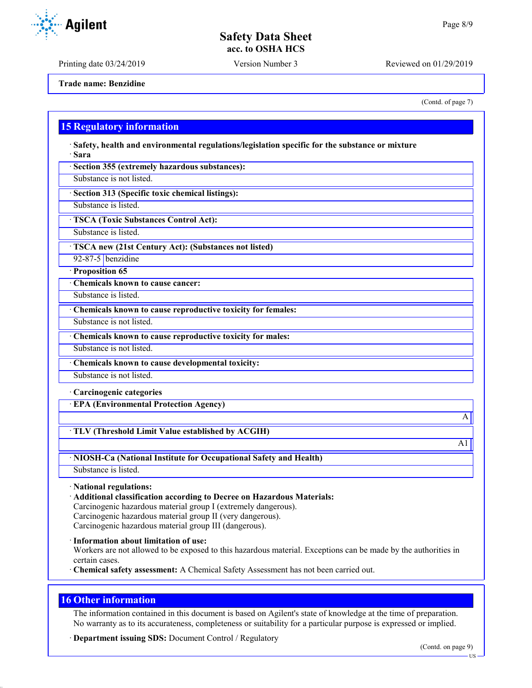Printing date 03/24/2019 Version Number 3 Reviewed on 01/29/2019

**Trade name: Benzidine**

(Contd. of page 7)

## **15 Regulatory information**

· **Safety, health and environmental regulations/legislation specific for the substance or mixture** · **Sara**

· **Section 355 (extremely hazardous substances):**

Substance is not listed.

· **Section 313 (Specific toxic chemical listings):**

Substance is listed.

· **TSCA (Toxic Substances Control Act):**

Substance is listed.

· **TSCA new (21st Century Act): (Substances not listed)**

92-87-5 benzidine

· **Proposition 65**

· **Chemicals known to cause cancer:**

Substance is listed.

· **Chemicals known to cause reproductive toxicity for females:**

Substance is not listed.

· **Chemicals known to cause reproductive toxicity for males:**

Substance is not listed.

· **Chemicals known to cause developmental toxicity:**

Substance is not listed.

#### · **Carcinogenic categories**

· **EPA (Environmental Protection Agency)**

· **TLV (Threshold Limit Value established by ACGIH)**

· **NIOSH-Ca (National Institute for Occupational Safety and Health)**

Substance is listed.

· **National regulations:**

· **Additional classification according to Decree on Hazardous Materials:**

Carcinogenic hazardous material group I (extremely dangerous). Carcinogenic hazardous material group II (very dangerous).

Carcinogenic hazardous material group III (dangerous).

· **Information about limitation of use:**

Workers are not allowed to be exposed to this hazardous material. Exceptions can be made by the authorities in certain cases.

· **Chemical safety assessment:** A Chemical Safety Assessment has not been carried out.

## **16 Other information**

The information contained in this document is based on Agilent's state of knowledge at the time of preparation. No warranty as to its accurateness, completeness or suitability for a particular purpose is expressed or implied.

· **Department issuing SDS:** Document Control / Regulatory

US

A

 $\overline{A1}$